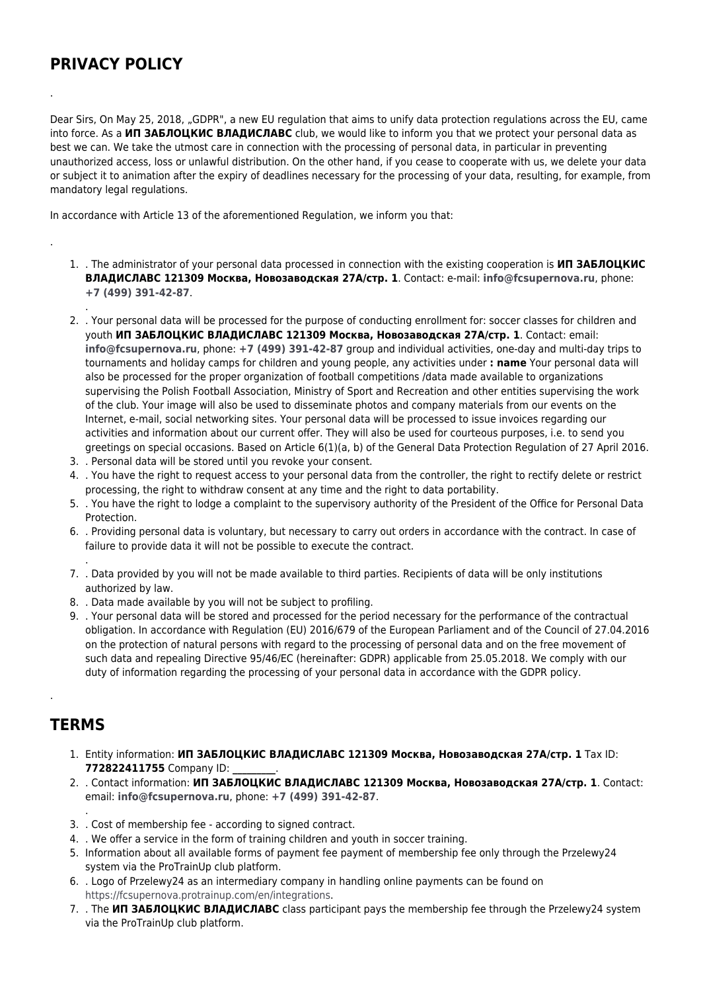## **PRIVACY POLICY**

.

.

.

Dear Sirs, On May 25, 2018, "GDPR", a new EU regulation that aims to unify data protection regulations across the EU, came into force. As a **ИП ЗАБЛОЦКИС ВЛАДИСЛАВС** club, we would like to inform you that we protect your personal data as best we can. We take the utmost care in connection with the processing of personal data, in particular in preventing unauthorized access, loss or unlawful distribution. On the other hand, if you cease to cooperate with us, we delete your data or subject it to animation after the expiry of deadlines necessary for the processing of your data, resulting, for example, from mandatory legal regulations.

In accordance with Article 13 of the aforementioned Regulation, we inform you that:

- 1. . The administrator of your personal data processed in connection with the existing cooperation is **ИП ЗАБЛОЦКИС ВЛАДИСЛАВС 121309 Москва, Новозаводская 27А/стр. 1**. Contact: e-mail: **[info@fcsupernova.ru](mailto:info@fcsupernova.ru)**, phone: **[+7 \(499\) 391-42-87](#page--1-0)**.
- 2. . Your personal data will be processed for the purpose of conducting enrollment for: soccer classes for children and youth **ИП ЗАБЛОЦКИС ВЛАДИСЛАВС 121309 Москва, Новозаводская 27А/стр. 1**. Contact: email: **[info@fcsupernova.ru](mailto:info@fcsupernova.ru)**, phone: **[+7 \(499\) 391-42-87](#page--1-0)** group and individual activities, one-day and multi-day trips to tournaments and holiday camps for children and young people, any activities under **: name** Your personal data will also be processed for the proper organization of football competitions /data made available to organizations supervising the Polish Football Association, Ministry of Sport and Recreation and other entities supervising the work of the club. Your image will also be used to disseminate photos and company materials from our events on the Internet, e-mail, social networking sites. Your personal data will be processed to issue invoices regarding our activities and information about our current offer. They will also be used for courteous purposes, i.e. to send you greetings on special occasions. Based on Article 6(1)(a, b) of the General Data Protection Regulation of 27 April 2016.
- 3. . Personal data will be stored until you revoke your consent.
- 4. . You have the right to request access to your personal data from the controller, the right to rectify delete or restrict processing, the right to withdraw consent at any time and the right to data portability.
- 5. . You have the right to lodge a complaint to the supervisory authority of the President of the Office for Personal Data Protection.
- 6. . Providing personal data is voluntary, but necessary to carry out orders in accordance with the contract. In case of failure to provide data it will not be possible to execute the contract.
- 7. . Data provided by you will not be made available to third parties. Recipients of data will be only institutions authorized by law.
- 8. . Data made available by you will not be subject to profiling.
- 9. . Your personal data will be stored and processed for the period necessary for the performance of the contractual obligation. In accordance with Regulation (EU) 2016/679 of the European Parliament and of the Council of 27.04.2016 on the protection of natural persons with regard to the processing of personal data and on the free movement of such data and repealing Directive 95/46/EC (hereinafter: GDPR) applicable from 25.05.2018. We comply with our duty of information regarding the processing of your personal data in accordance with the GDPR policy.

## **TERMS**

.

.

.

- 1. Entity information: **ИП ЗАБЛОЦКИС ВЛАДИСЛАВС 121309 Москва, Новозаводская 27А/стр. 1** Tax ID: **772822411755** Company ID: **\_\_\_\_\_\_\_\_\_**.
- 2. . Contact information: **ИП ЗАБЛОЦКИС ВЛАДИСЛАВС 121309 Москва, Новозаводская 27А/стр. 1**. Contact: email: **[info@fcsupernova.ru](mailto:info@fcsupernova.ru)**, phone: **[+7 \(499\) 391-42-87](#page--1-0)**.
- 3. . Cost of membership fee according to signed contract.
- 4. . We offer a service in the form of training children and youth in soccer training.
- 5. Information about all available forms of payment fee payment of membership fee only through the Przelewy24 system via the ProTrainUp club platform.
- 6. . Logo of Przelewy24 as an intermediary company in handling online payments can be found on [https://fcsupernova.protrainup.com/en/integrations.](https://fcsupernova.protrainup.com/en/integrations)
- 7. . The **ИП ЗАБЛОЦКИС ВЛАДИСЛАВС** class participant pays the membership fee through the Przelewy24 system via the ProTrainUp club platform.